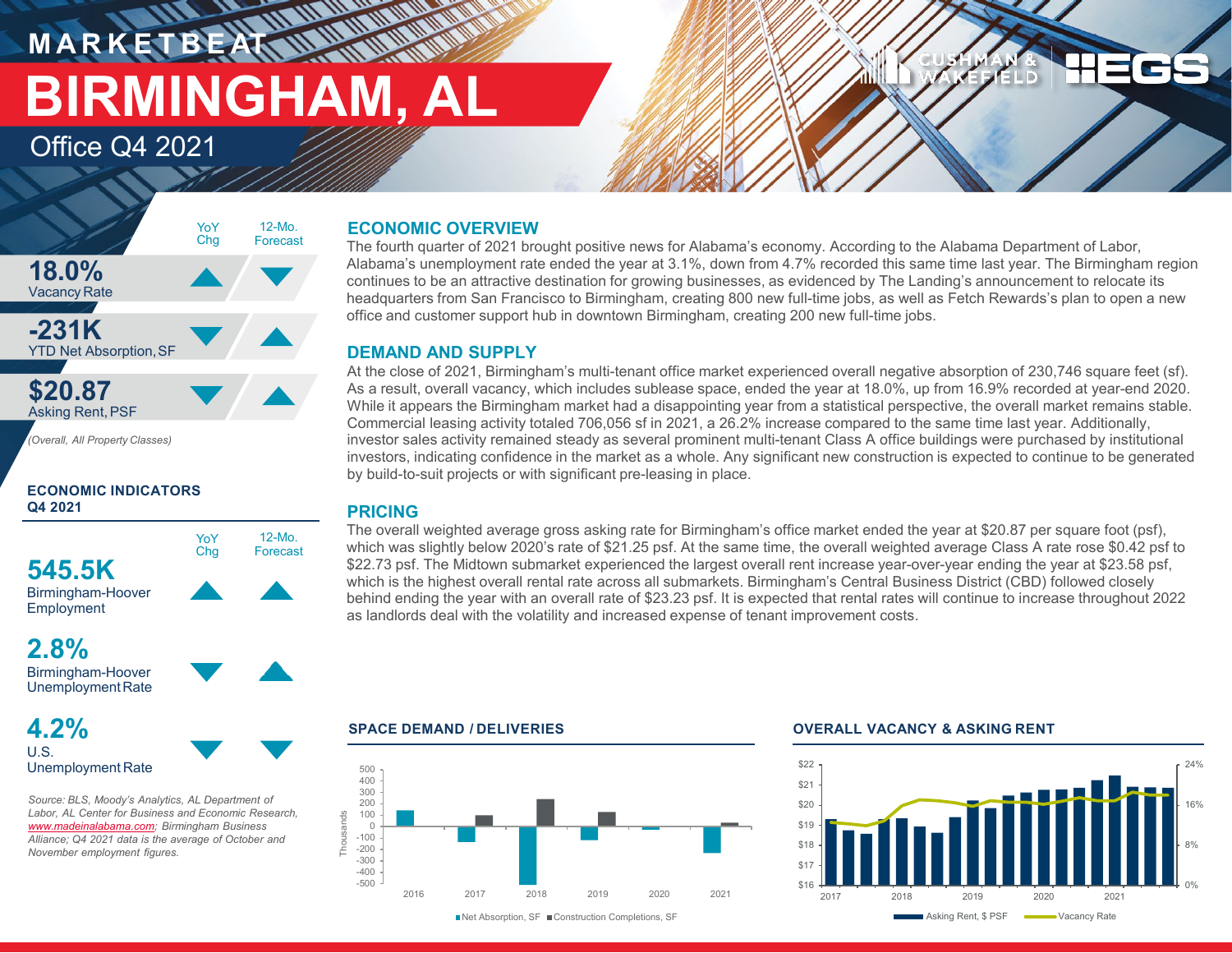# **M A R K E T B E AT BIRMINGHAM, AL**

Office Q4 2021



**ECONOMIC INDICATORS Q4 2021**



### **2.8%** Birmingham-Hoover

UnemploymentRate

**4.2%** U.S. Unemployment Rate

*Source: BLS, Moody's Analytics, AL Department of Labor, AL Center for Business and Economic Research, [www.madeinalabama.com](http://www.madeinalabama.com/); Birmingham Business Alliance; Q4 2021 data is the average of October and November employment figures.* 

### **ECONOMIC OVERVIEW**

**RANCH COMPANY** 

The fourth quarter of 2021 brought positive news for Alabama's economy. According to the Alabama Department of Labor, Alabama's unemployment rate ended the year at 3.1%, down from 4.7% recorded this same time last year. The Birmingham region continues to be an attractive destination for growing businesses, as evidenced by The Landing's announcement to relocate its headquarters from San Francisco to Birmingham, creating 800 new full-time jobs, as well as Fetch Rewards's plan to open a new office and customer support hub in downtown Birmingham, creating 200 new full-time jobs.

### **DEMAND AND SUPPLY**

At the close of 2021, Birmingham's multi-tenant office market experienced overall negative absorption of 230,746 square feet (sf). As a result, overall vacancy, which includes sublease space, ended the year at 18.0%, up from 16.9% recorded at year-end 2020. While it appears the Birmingham market had a disappointing year from a statistical perspective, the overall market remains stable. Commercial leasing activity totaled 706,056 sf in 2021, a 26.2% increase compared to the same time last year. Additionally, investor sales activity remained steady as several prominent multi-tenant Class A office buildings were purchased by institutional investors, indicating confidence in the market as a whole. Any significant new construction is expected to continue to be generated by build-to-suit projects or with significant pre-leasing in place.

### **PRICING**

The overall weighted average gross asking rate for Birmingham's office market ended the year at \$20.87 per square foot (psf), which was slightly below 2020's rate of \$21.25 psf. At the same time, the overall weighted average Class A rate rose \$0.42 psf to \$22.73 psf. The Midtown submarket experienced the largest overall rent increase year-over-year ending the year at \$23.58 psf, which is the highest overall rental rate across all submarkets. Birmingham's Central Business District (CBD) followed closely behind ending the year with an overall rate of \$23.23 psf. It is expected that rental rates will continue to increase throughout 2022 as landlords deal with the volatility and increased expense of tenant improvement costs.



### **SPACE DEMAND / DELIVERIES OVERALL VACANCY & ASKING RENT**



**DELD**